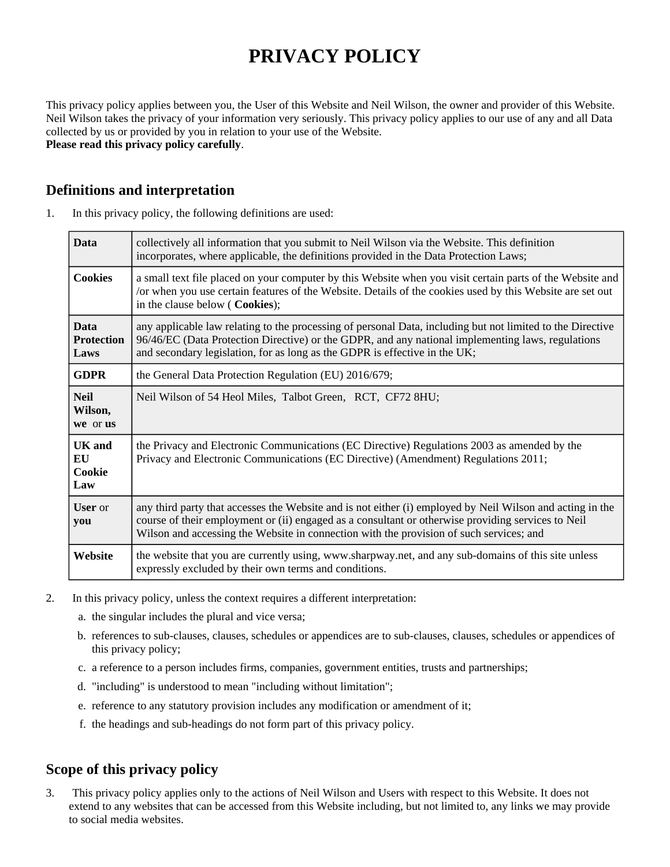# **PRIVACY POLICY**

This privacy policy applies between you, the User of this Website and Neil Wilson, the owner and provider of this Website. Neil Wilson takes the privacy of your information very seriously. This privacy policy applies to our use of any and all Data collected by us or provided by you in relation to your use of the Website. **Please read this privacy policy carefully**.

## **Definitions and interpretation**

| 1. | In this privacy policy, the following definitions are used: |  |  |
|----|-------------------------------------------------------------|--|--|
|----|-------------------------------------------------------------|--|--|

| <b>Data</b>                              | collectively all information that you submit to Neil Wilson via the Website. This definition<br>incorporates, where applicable, the definitions provided in the Data Protection Laws;                                                                                                                      |  |
|------------------------------------------|------------------------------------------------------------------------------------------------------------------------------------------------------------------------------------------------------------------------------------------------------------------------------------------------------------|--|
| <b>Cookies</b>                           | a small text file placed on your computer by this Website when you visit certain parts of the Website and<br>or when you use certain features of the Website. Details of the cookies used by this Website are set out<br>in the clause below (Cookies);                                                    |  |
| <b>Data</b><br><b>Protection</b><br>Laws | any applicable law relating to the processing of personal Data, including but not limited to the Directive<br>96/46/EC (Data Protection Directive) or the GDPR, and any national implementing laws, regulations<br>and secondary legislation, for as long as the GDPR is effective in the UK;              |  |
| <b>GDPR</b>                              | the General Data Protection Regulation (EU) 2016/679;                                                                                                                                                                                                                                                      |  |
| <b>Neil</b><br>Wilson,<br>we or us       | Neil Wilson of 54 Heol Miles, Talbot Green, RCT, CF72 8HU;                                                                                                                                                                                                                                                 |  |
| <b>UK</b> and<br>EU<br>Cookie<br>Law     | the Privacy and Electronic Communications (EC Directive) Regulations 2003 as amended by the<br>Privacy and Electronic Communications (EC Directive) (Amendment) Regulations 2011;                                                                                                                          |  |
| <b>User</b> or<br>you                    | any third party that accesses the Website and is not either (i) employed by Neil Wilson and acting in the<br>course of their employment or (ii) engaged as a consultant or otherwise providing services to Neil<br>Wilson and accessing the Website in connection with the provision of such services; and |  |
| Website                                  | the website that you are currently using, www.sharpway.net, and any sub-domains of this site unless<br>expressly excluded by their own terms and conditions.                                                                                                                                               |  |

- 2. In this privacy policy, unless the context requires a different interpretation:
	- a. the singular includes the plural and vice versa;
	- b. references to sub-clauses, clauses, schedules or appendices are to sub-clauses, clauses, schedules or appendices of this privacy policy;
	- c. a reference to a person includes firms, companies, government entities, trusts and partnerships;
	- d. "including" is understood to mean "including without limitation";
	- e. reference to any statutory provision includes any modification or amendment of it;
	- f. the headings and sub-headings do not form part of this privacy policy.

# **Scope of this privacy policy**

3. This privacy policy applies only to the actions of Neil Wilson and Users with respect to this Website. It does not extend to any websites that can be accessed from this Website including, but not limited to, any links we may provide to social media websites.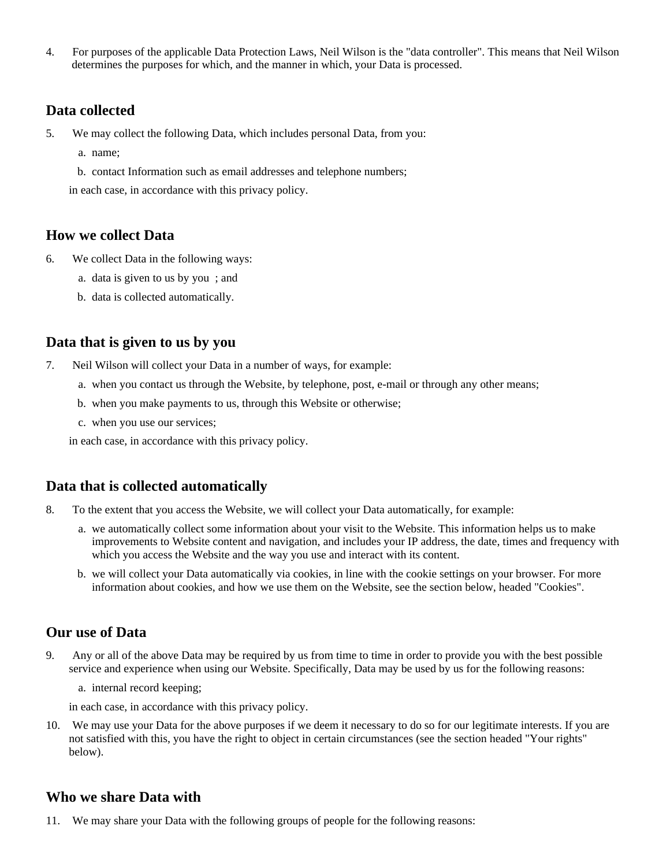4. For purposes of the applicable Data Protection Laws, Neil Wilson is the "data controller". This means that Neil Wilson determines the purposes for which, and the manner in which, your Data is processed.

#### **Data collected**

- 5. We may collect the following Data, which includes personal Data, from you:
	- a. name;
	- b. contact Information such as email addresses and telephone numbers;

in each case, in accordance with this privacy policy.

#### **How we collect Data**

- 6. We collect Data in the following ways:
	- a. data is given to us by you ; and
	- b. data is collected automatically.

#### **Data that is given to us by you**

- 7. Neil Wilson will collect your Data in a number of ways, for example:
	- a. when you contact us through the Website, by telephone, post, e-mail or through any other means;
	- b. when you make payments to us, through this Website or otherwise;
	- c. when you use our services;

in each case, in accordance with this privacy policy.

## **Data that is collected automatically**

- 8. To the extent that you access the Website, we will collect your Data automatically, for example:
	- a. we automatically collect some information about your visit to the Website. This information helps us to make improvements to Website content and navigation, and includes your IP address, the date, times and frequency with which you access the Website and the way you use and interact with its content.
	- b. we will collect your Data automatically via cookies, in line with the cookie settings on your browser. For more information about cookies, and how we use them on the Website, see the section below, headed "Cookies".

#### **Our use of Data**

- 9. Any or all of the above Data may be required by us from time to time in order to provide you with the best possible service and experience when using our Website. Specifically, Data may be used by us for the following reasons:
	- a. internal record keeping;

in each case, in accordance with this privacy policy.

10. We may use your Data for the above purposes if we deem it necessary to do so for our legitimate interests. If you are not satisfied with this, you have the right to object in certain circumstances (see the section headed "Your rights" below).

## **Who we share Data with**

11. We may share your Data with the following groups of people for the following reasons: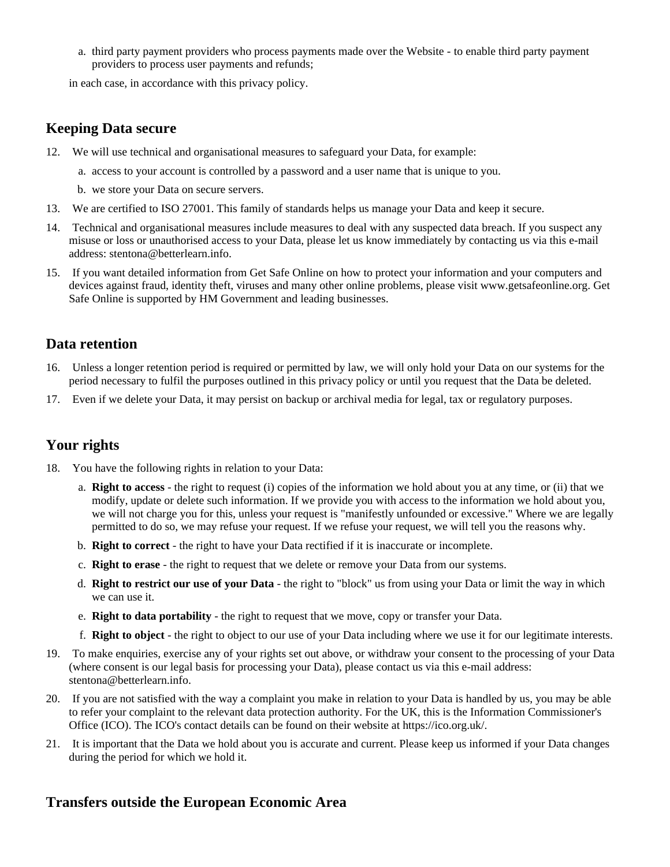a. third party payment providers who process payments made over the Website - to enable third party payment providers to process user payments and refunds;

in each case, in accordance with this privacy policy.

## **Keeping Data secure**

- 12. We will use technical and organisational measures to safeguard your Data, for example:
	- a. access to your account is controlled by a password and a user name that is unique to you.
	- b. we store your Data on secure servers.
- 13. We are certified to ISO 27001. This family of standards helps us manage your Data and keep it secure.
- 14. Technical and organisational measures include measures to deal with any suspected data breach. If you suspect any misuse or loss or unauthorised access to your Data, please let us know immediately by contacting us via this e-mail address: stentona@betterlearn.info.
- 15. If you want detailed information from Get Safe Online on how to protect your information and your computers and devices against fraud, identity theft, viruses and many other online problems, please visit www.getsafeonline.org. Get Safe Online is supported by HM Government and leading businesses.

## **Data retention**

- 16. Unless a longer retention period is required or permitted by law, we will only hold your Data on our systems for the period necessary to fulfil the purposes outlined in this privacy policy or until you request that the Data be deleted.
- 17. Even if we delete your Data, it may persist on backup or archival media for legal, tax or regulatory purposes.

# **Your rights**

- 18. You have the following rights in relation to your Data:
	- a. **Right to access** the right to request (i) copies of the information we hold about you at any time, or (ii) that we modify, update or delete such information. If we provide you with access to the information we hold about you, we will not charge you for this, unless your request is "manifestly unfounded or excessive." Where we are legally permitted to do so, we may refuse your request. If we refuse your request, we will tell you the reasons why.
	- b. **Right to correct** the right to have your Data rectified if it is inaccurate or incomplete.
	- c. **Right to erase** the right to request that we delete or remove your Data from our systems.
	- d. **Right to restrict our use of your Data** the right to "block" us from using your Data or limit the way in which we can use it.
	- e. **Right to data portability** the right to request that we move, copy or transfer your Data.
	- f. **Right to object** the right to object to our use of your Data including where we use it for our legitimate interests.
- 19. To make enquiries, exercise any of your rights set out above, or withdraw your consent to the processing of your Data (where consent is our legal basis for processing your Data), please contact us via this e-mail address: stentona@betterlearn.info.
- 20. If you are not satisfied with the way a complaint you make in relation to your Data is handled by us, you may be able to refer your complaint to the relevant data protection authority. For the UK, this is the Information Commissioner's Office (ICO). The ICO's contact details can be found on their website at https://ico.org.uk/.
- 21. It is important that the Data we hold about you is accurate and current. Please keep us informed if your Data changes during the period for which we hold it.

## **Transfers outside the European Economic Area**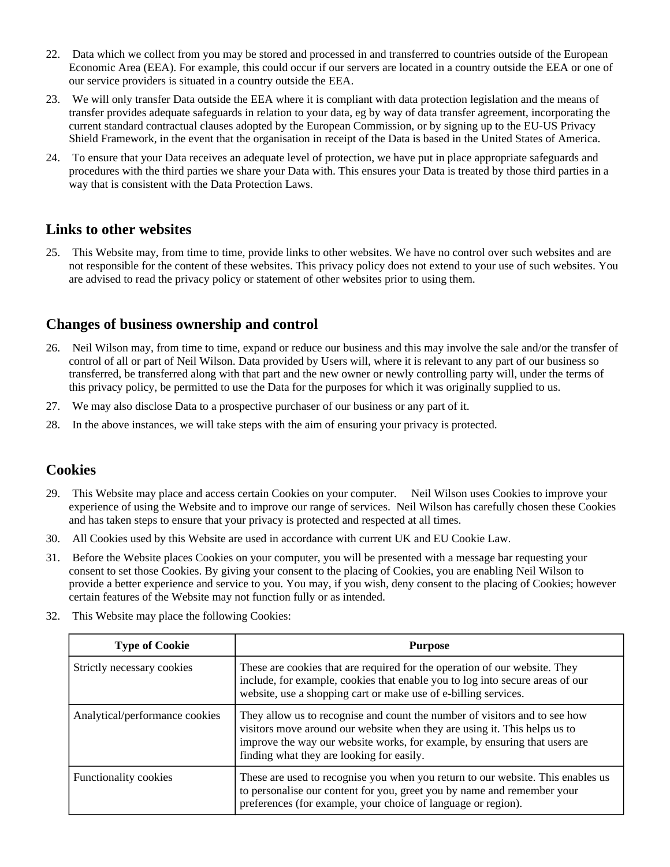- 22. Data which we collect from you may be stored and processed in and transferred to countries outside of the European Economic Area (EEA). For example, this could occur if our servers are located in a country outside the EEA or one of our service providers is situated in a country outside the EEA.
- 23. We will only transfer Data outside the EEA where it is compliant with data protection legislation and the means of transfer provides adequate safeguards in relation to your data, eg by way of data transfer agreement, incorporating the current standard contractual clauses adopted by the European Commission, or by signing up to the EU-US Privacy Shield Framework, in the event that the organisation in receipt of the Data is based in the United States of America.
- 24. To ensure that your Data receives an adequate level of protection, we have put in place appropriate safeguards and procedures with the third parties we share your Data with. This ensures your Data is treated by those third parties in a way that is consistent with the Data Protection Laws.

#### **Links to other websites**

25. This Website may, from time to time, provide links to other websites. We have no control over such websites and are not responsible for the content of these websites. This privacy policy does not extend to your use of such websites. You are advised to read the privacy policy or statement of other websites prior to using them.

# **Changes of business ownership and control**

- 26. Neil Wilson may, from time to time, expand or reduce our business and this may involve the sale and/or the transfer of control of all or part of Neil Wilson. Data provided by Users will, where it is relevant to any part of our business so transferred, be transferred along with that part and the new owner or newly controlling party will, under the terms of this privacy policy, be permitted to use the Data for the purposes for which it was originally supplied to us.
- 27. We may also disclose Data to a prospective purchaser of our business or any part of it.
- 28. In the above instances, we will take steps with the aim of ensuring your privacy is protected.

## **Cookies**

- 29. This Website may place and access certain Cookies on your computer. Neil Wilson uses Cookies to improve your experience of using the Website and to improve our range of services. Neil Wilson has carefully chosen these Cookies and has taken steps to ensure that your privacy is protected and respected at all times.
- 30. All Cookies used by this Website are used in accordance with current UK and EU Cookie Law.
- 31. Before the Website places Cookies on your computer, you will be presented with a message bar requesting your consent to set those Cookies. By giving your consent to the placing of Cookies, you are enabling Neil Wilson to provide a better experience and service to you. You may, if you wish, deny consent to the placing of Cookies; however certain features of the Website may not function fully or as intended.
- 32. This Website may place the following Cookies:

| <b>Type of Cookie</b>          | <b>Purpose</b>                                                                                                                                                                                                                                                                     |
|--------------------------------|------------------------------------------------------------------------------------------------------------------------------------------------------------------------------------------------------------------------------------------------------------------------------------|
| Strictly necessary cookies     | These are cookies that are required for the operation of our website. They<br>include, for example, cookies that enable you to log into secure areas of our<br>website, use a shopping cart or make use of e-billing services.                                                     |
| Analytical/performance cookies | They allow us to recognise and count the number of visitors and to see how<br>visitors move around our website when they are using it. This helps us to<br>improve the way our website works, for example, by ensuring that users are<br>finding what they are looking for easily. |
| <b>Functionality cookies</b>   | These are used to recognise you when you return to our website. This enables us<br>to personalise our content for you, greet you by name and remember your<br>preferences (for example, your choice of language or region).                                                        |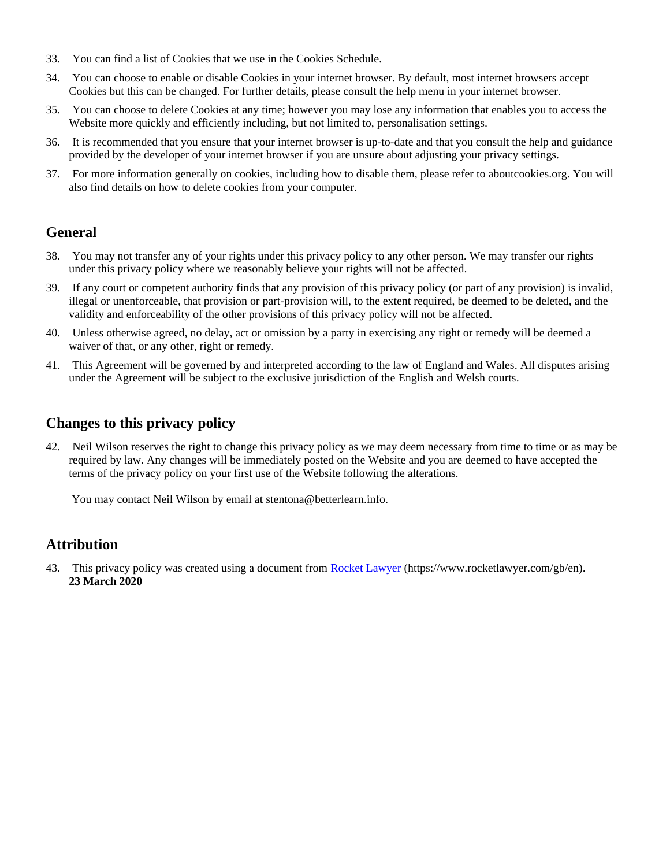- 33. You can find a list of Cookies that we use in the Cookies Schedule.
- 34. You can choose to enable or disable Cookies in your internet browser. By default, most internet browsers accept Cookies but this can be changed. For further details, please consult the help menu in your internet browser.
- 35. You can choose to delete Cookies at any time; however you may lose any information that enables you to access the Website more quickly and efficiently including, but not limited to, personalisation settings.
- 36. It is recommended that you ensure that your internet browser is up-to-date and that you consult the help and guidance provided by the developer of your internet browser if you are unsure about adjusting your privacy settings.
- 37. For more information generally on cookies, including how to disable them, please refer to aboutcookies.org. You will also find details on how to delete cookies from your computer.

## **General**

- 38. You may not transfer any of your rights under this privacy policy to any other person. We may transfer our rights under this privacy policy where we reasonably believe your rights will not be affected.
- 39. If any court or competent authority finds that any provision of this privacy policy (or part of any provision) is invalid, illegal or unenforceable, that provision or part-provision will, to the extent required, be deemed to be deleted, and the validity and enforceability of the other provisions of this privacy policy will not be affected.
- 40. Unless otherwise agreed, no delay, act or omission by a party in exercising any right or remedy will be deemed a waiver of that, or any other, right or remedy.
- 41. This Agreement will be governed by and interpreted according to the law of England and Wales. All disputes arising under the Agreement will be subject to the exclusive jurisdiction of the English and Welsh courts.

## **Changes to this privacy policy**

42. Neil Wilson reserves the right to change this privacy policy as we may deem necessary from time to time or as may be required by law. Any changes will be immediately posted on the Website and you are deemed to have accepted the terms of the privacy policy on your first use of the Website following the alterations.

You may contact Neil Wilson by email at stentona@betterlearn.info.

## **Attribution**

43. This privacy policy was created using a document from [Rocket Lawyer](https://www.rocketlawyer.com/gb/en/) (https://www.rocketlawyer.com/gb/en). **23 March 2020**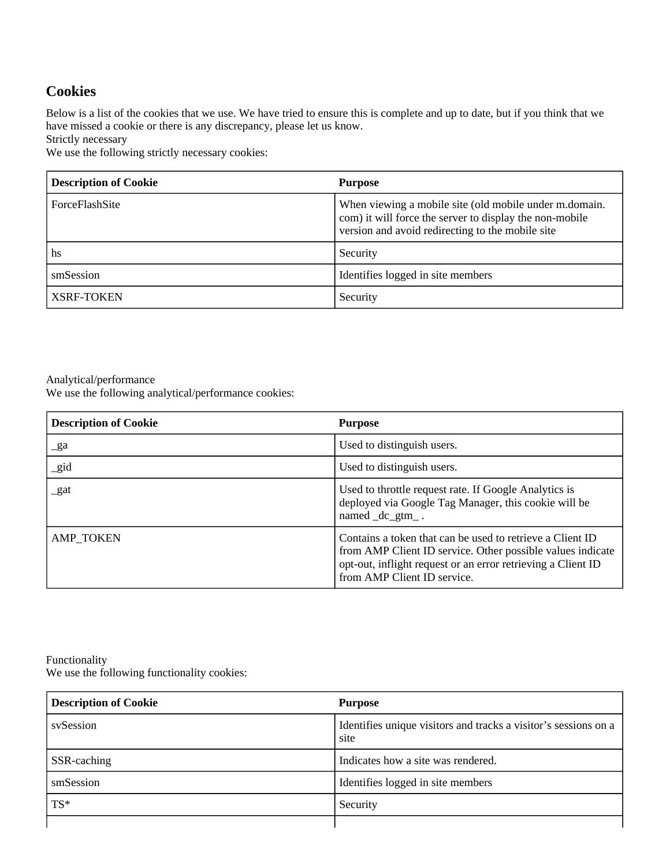## **Cookies**

Below is a list of the cookies that we use. We have tried to ensure this is complete and up to date, but if you think that we have missed a cookie or there is any discrepancy, please let us know.

Strictly necessary

We use the following strictly necessary cookies:

| <b>Description of Cookie</b> | <b>Purpose</b>                                                                                                                                                        |
|------------------------------|-----------------------------------------------------------------------------------------------------------------------------------------------------------------------|
| ForceFlashSite               | When viewing a mobile site (old mobile under m.domain.<br>com) it will force the server to display the non-mobile<br>version and avoid redirecting to the mobile site |
| hs                           | Security                                                                                                                                                              |
| smSession                    | Identifies logged in site members                                                                                                                                     |
| <b>XSRF-TOKEN</b>            | Security                                                                                                                                                              |

#### Analytical/performance

We use the following analytical/performance cookies:

| <b>Description of Cookie</b> | <b>Purpose</b>                                                                                                                                                                                                         |
|------------------------------|------------------------------------------------------------------------------------------------------------------------------------------------------------------------------------------------------------------------|
| $\mathbf{g}$ a               | Used to distinguish users.                                                                                                                                                                                             |
| _gid                         | Used to distinguish users.                                                                                                                                                                                             |
| _gat                         | Used to throttle request rate. If Google Analytics is<br>deployed via Google Tag Manager, this cookie will be<br>named _dc_gtm_.                                                                                       |
| <b>AMP_TOKEN</b>             | Contains a token that can be used to retrieve a Client ID<br>from AMP Client ID service. Other possible values indicate<br>opt-out, inflight request or an error retrieving a Client ID<br>from AMP Client ID service. |

#### Functionality

We use the following functionality cookies:

| <b>Description of Cookie</b> | <b>Purpose</b>                                                          |
|------------------------------|-------------------------------------------------------------------------|
| sySession                    | Identifies unique visitors and tracks a visitor's sessions on a<br>site |
| SSR-caching                  | Indicates how a site was rendered.                                      |
| smSession                    | Identifies logged in site members                                       |
| $TS*$                        | Security                                                                |
|                              |                                                                         |